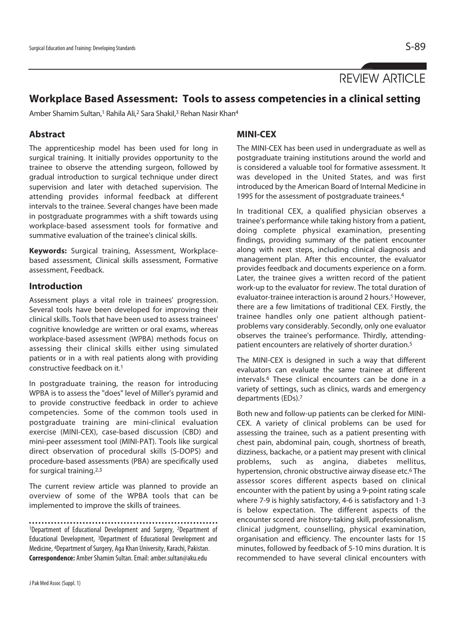# **REVIEW ARTICLE**

## **Workplace Based Assessment: Tools to assess competencies in a clinical setting**

Amber Shamim Sultan,<sup>1</sup> Rahila Ali,<sup>2</sup> Sara Shakil,<sup>3</sup> Rehan Nasir Khan<sup>4</sup>

### **Abstract**

The apprenticeship model has been used for long in surgical training. It initially provides opportunity to the trainee to observe the attending surgeon, followed by gradual introduction to surgical technique under direct supervision and later with detached supervision. The attending provides informal feedback at different intervals to the trainee. Several changes have been made in postgraduate programmes with a shift towards using workplace-based assessment tools for formative and summative evaluation of the trainee's clinical skills.

**Keywords:** Surgical training, Assessment, Workplacebased assessment, Clinical skills assessment, Formative assessment, Feedback.

#### **Introduction**

Assessment plays a vital role in trainees' progression. Several tools have been developed for improving their clinical skills. Tools that have been used to assess trainees' cognitive knowledge are written or oral exams, whereas workplace-based assessment (WPBA) methods focus on assessing their clinical skills either using simulated patients or in a with real patients along with providing constructive feedback on it.<sup>1</sup>

In postgraduate training, the reason for introducing WPBA is to assess the "does" level of Miller's pyramid and to provide constructive feedback in order to achieve competencies. Some of the common tools used in postgraduate training are mini-clinical evaluation exercise (MINI-CEX), case-based discussion (CBD) and mini-peer assessment tool (MINI-PAT). Tools like surgical direct observation of procedural skills (S-DOPS) and procedure-based assessments (PBA) are specifically used for surgical training.2,3

The current review article was planned to provide an overview of some of the WPBA tools that can be implemented to improve the skills of trainees.

1Department of Educational Development and Surgery, 2Department of Educational Development, 3Department of Educational Development and Medicine, 4Department of Surgery, Aga Khan University, Karachi, Pakistan. **Correspondence:** Amber Shamim Sultan. Email: amber.sultan@aku.edu

#### **MINI-CEX**

The MINI-CEX has been used in undergraduate as well as postgraduate training institutions around the world and is considered a valuable tool for formative assessment. It was developed in the United States, and was first introduced by the American Board of Internal Medicine in 1995 for the assessment of postgraduate trainees.4

In traditional CEX, a qualified physician observes a trainee's performance while taking history from a patient, doing complete physical examination, presenting findings, providing summary of the patient encounter along with next steps, including clinical diagnosis and management plan. After this encounter, the evaluator provides feedback and documents experience on a form. Later, the trainee gives a written record of the patient work-up to the evaluator for review. The total duration of evaluator-trainee interaction is around 2 hours.<sup>5</sup> However, there are a few limitations of traditional CEX. Firstly, the trainee handles only one patient although patientproblems vary considerably. Secondly, only one evaluator observes the trainee's performance. Thirdly, attendingpatient encounters are relatively of shorter duration.5

The MINI-CEX is designed in such a way that different evaluators can evaluate the same trainee at different intervals.6 These clinical encounters can be done in a variety of settings, such as clinics, wards and emergency departments (EDs).7

Both new and follow-up patients can be clerked for MINI-CEX. A variety of clinical problems can be used for assessing the trainee, such as a patient presenting with chest pain, abdominal pain, cough, shortness of breath, dizziness, backache, or a patient may present with clinical problems, such as angina, diabetes mellitus, hypertension, chronic obstructive airway disease etc.6 The assessor scores different aspects based on clinical encounter with the patient by using a 9-point rating scale where 7-9 is highly satisfactory, 4-6 is satisfactory and 1-3 is below expectation. The different aspects of the encounter scored are history-taking skill, professionalism, clinical judgment, counselling, physical examination, organisation and efficiency. The encounter lasts for 15 minutes, followed by feedback of 5-10 mins duration. It is recommended to have several clinical encounters with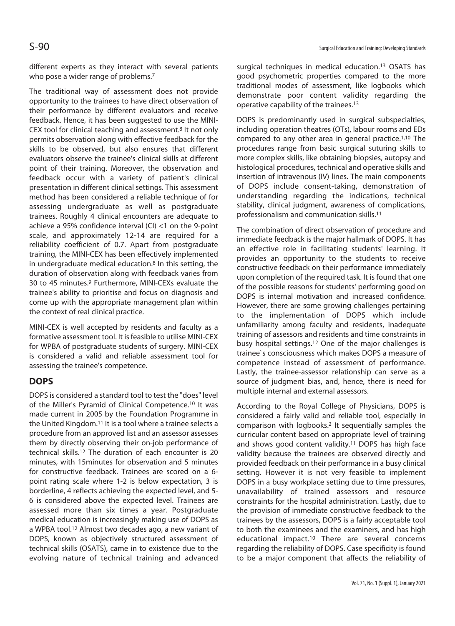different experts as they interact with several patients who pose a wider range of problems.<sup>7</sup>

The traditional way of assessment does not provide opportunity to the trainees to have direct observation of their performance by different evaluators and receive feedback. Hence, it has been suggested to use the MINI-CEX tool for clinical teaching and assessment.8 It not only permits observation along with effective feedback for the skills to be observed, but also ensures that different evaluators observe the trainee's clinical skills at different point of their training. Moreover, the observation and feedback occur with a variety of patient's clinical presentation in different clinical settings. This assessment method has been considered a reliable technique of for assessing undergraduate as well as postgraduate trainees. Roughly 4 clinical encounters are adequate to achieve a 95% confidence interval (CI) <1 on the 9-point scale, and approximately 12-14 are required for a reliability coefficient of 0.7. Apart from postgraduate training, the MINI-CEX has been effectively implemented in undergraduate medical education.8 In this setting, the duration of observation along with feedback varies from 30 to 45 minutes.9 Furthermore, MINI-CEXs evaluate the trainee's ability to prioritise and focus on diagnosis and come up with the appropriate management plan within the context of real clinical practice.

MINI-CEX is well accepted by residents and faculty as a formative assessment tool. It is feasible to utilise MINI-CEX for WPBA of postgraduate students of surgery. MINI-CEX is considered a valid and reliable assessment tool for assessing the trainee's competence.

### **DOPS**

DOPS is considered a standard tool to test the "does" level of the Miller's Pyramid of Clinical Competence.10 It was made current in 2005 by the Foundation Programme in the United Kingdom.11 It is a tool where a trainee selects a procedure from an approved list and an assessor assesses them by directly observing their on-job performance of technical skills.12 The duration of each encounter is 20 minutes, with 15minutes for observation and 5 minutes for constructive feedback. Trainees are scored on a 6 point rating scale where 1-2 is below expectation, 3 is borderline, 4 reflects achieving the expected level, and 5- 6 is considered above the expected level. Trainees are assessed more than six times a year. Postgraduate medical education is increasingly making use of DOPS as a WPBA tool.12 Almost two decades ago, a new variant of DOPS, known as objectively structured assessment of technical skills (OSATS), came in to existence due to the evolving nature of technical training and advanced

surgical techniques in medical education.13 OSATS has good psychometric properties compared to the more traditional modes of assessment, like logbooks which demonstrate poor content validity regarding the operative capability of the trainees.13

DOPS is predominantly used in surgical subspecialties, including operation theatres (OTs), labour rooms and EDs compared to any other area in general practice.1,10 The procedures range from basic surgical suturing skills to more complex skills, like obtaining biopsies, autopsy and histological procedures, technical and operative skills and insertion of intravenous (IV) lines. The main components of DOPS include consent-taking, demonstration of understanding regarding the indications, technical stability, clinical judgment, awareness of complications, professionalism and communication skills.11

The combination of direct observation of procedure and immediate feedback is the major hallmark of DOPS. It has an effective role in facilitating students' learning. It provides an opportunity to the students to receive constructive feedback on their performance immediately upon completion of the required task. It is found that one of the possible reasons for students' performing good on DOPS is internal motivation and increased confidence. However, there are some growing challenges pertaining to the implementation of DOPS which include unfamiliarity among faculty and residents, inadequate training of assessors and residents and time constraints in busy hospital settings.12 One of the major challenges is trainee`s consciousness which makes DOPS a measure of competence instead of assessment of performance. Lastly, the trainee-assessor relationship can serve as a source of judgment bias, and, hence, there is need for multiple internal and external assessors.

According to the Royal College of Physicians, DOPS is considered a fairly valid and reliable tool, especially in comparison with logbooks.2 It sequentially samples the curricular content based on appropriate level of training and shows good content validity.11 DOPS has high face validity because the trainees are observed directly and provided feedback on their performance in a busy clinical setting. However it is not very feasible to implement DOPS in a busy workplace setting due to time pressures, unavailability of trained assessors and resource constraints for the hospital administration. Lastly, due to the provision of immediate constructive feedback to the trainees by the assessors, DOPS is a fairly acceptable tool to both the examinees and the examiners, and has high educational impact.10 There are several concerns regarding the reliability of DOPS. Case specificity is found to be a major component that affects the reliability of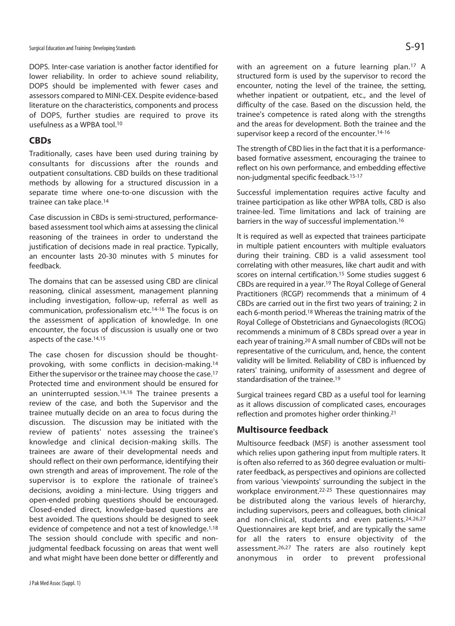DOPS. Inter-case variation is another factor identified for lower reliability. In order to achieve sound reliability, DOPS should be implemented with fewer cases and assessors compared to MINI-CEX. Despite evidence-based literature on the characteristics, components and process of DOPS, further studies are required to prove its usefulness as a WPBA tool.10

#### **CBDs**

Traditionally, cases have been used during training by consultants for discussions after the rounds and outpatient consultations. CBD builds on these traditional methods by allowing for a structured discussion in a separate time where one-to-one discussion with the trainee can take place.14

Case discussion in CBDs is semi-structured, performancebased assessment tool which aims at assessing the clinical reasoning of the trainees in order to understand the justification of decisions made in real practice. Typically, an encounter lasts 20-30 minutes with 5 minutes for feedback.

The domains that can be assessed using CBD are clinical reasoning, clinical assessment, management planning including investigation, follow-up, referral as well as communication, professionalism etc.14-16 The focus is on the assessment of application of knowledge. In one encounter, the focus of discussion is usually one or two aspects of the case.14,15

The case chosen for discussion should be thoughtprovoking, with some conflicts in decision-making.14 Either the supervisor or the trainee may choose the case.<sup>17</sup> Protected time and environment should be ensured for an uninterrupted session.<sup>14,16</sup> The trainee presents a review of the case, and both the Supervisor and the trainee mutually decide on an area to focus during the discussion. The discussion may be initiated with the review of patients' notes assessing the trainee's knowledge and clinical decision-making skills. The trainees are aware of their developmental needs and should reflect on their own performance, identifying their own strength and areas of improvement. The role of the supervisor is to explore the rationale of trainee's decisions, avoiding a mini-lecture. Using triggers and open-ended probing questions should be encouraged. Closed-ended direct, knowledge-based questions are best avoided. The questions should be designed to seek evidence of competence and not a test of knowledge.<sup>1,18</sup> The session should conclude with specific and nonjudgmental feedback focussing on areas that went well and what might have been done better or differently and with an agreement on a future learning plan.<sup>17</sup> A structured form is used by the supervisor to record the encounter, noting the level of the trainee, the setting, whether inpatient or outpatient, etc., and the level of difficulty of the case. Based on the discussion held, the trainee's competence is rated along with the strengths and the areas for development. Both the trainee and the supervisor keep a record of the encounter.14-16

The strength of CBD lies in the fact that it is a performancebased formative assessment, encouraging the trainee to reflect on his own performance, and embedding effective non-judgmental specific feedback.15-17

Successful implementation requires active faculty and trainee participation as like other WPBA tolls, CBD is also trainee-led. Time limitations and lack of training are barriers in the way of successful implementation.16

It is required as well as expected that trainees participate in multiple patient encounters with multiple evaluators during their training. CBD is a valid assessment tool correlating with other measures, like chart audit and with scores on internal certification.15 Some studies suggest 6 CBDs are required in a year.19 The Royal College of General Practitioners (RCGP) recommends that a minimum of 4 CBDs are carried out in the first two years of training; 2 in each 6-month period.18 Whereas the training matrix of the Royal College of Obstetricians and Gynaecologists (RCOG) recommends a minimum of 8 CBDs spread over a year in each year of training.20 A small number of CBDs will not be representative of the curriculum, and, hence, the content validity will be limited. Reliability of CBD is influenced by raters' training, uniformity of assessment and degree of standardisation of the trainee.19

Surgical trainees regard CBD as a useful tool for learning as it allows discussion of complicated cases, encourages reflection and promotes higher order thinking.21

### **Multisource feedback**

Multisource feedback (MSF) is another assessment tool which relies upon gathering input from multiple raters. It is often also referred to as 360 degree evaluation or multirater feedback, as perspectives and opinions are collected from various 'viewpoints' surrounding the subject in the workplace environment.22-25 These questionnaires may be distributed along the various levels of hierarchy, including supervisors, peers and colleagues, both clinical and non-clinical, students and even patients.24,26,27 Questionnaires are kept brief, and are typically the same for all the raters to ensure objectivity of the assessment.26,27 The raters are also routinely kept anonymous in order to prevent professional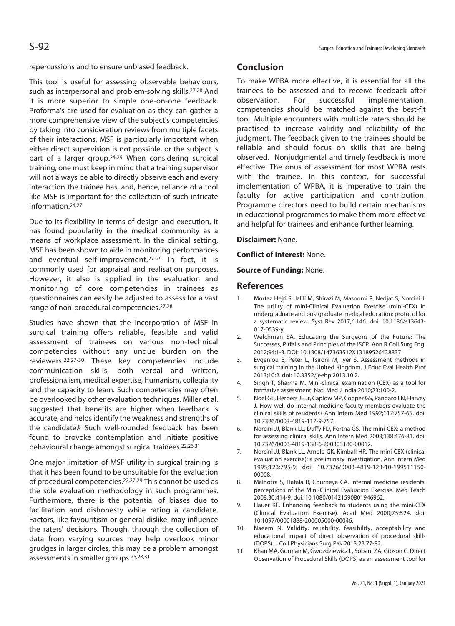repercussions and to ensure unbiased feedback.

This tool is useful for assessing observable behaviours, such as interpersonal and problem-solving skills.27,28 And it is more superior to simple one-on-one feedback. Proforma's are used for evaluation as they can gather a more comprehensive view of the subject's competencies by taking into consideration reviews from multiple facets of their interactions. MSF is particularly important when either direct supervision is not possible, or the subject is part of a larger group.24,29 When considering surgical training, one must keep in mind that a training supervisor will not always be able to directly observe each and every interaction the trainee has, and, hence, reliance of a tool like MSF is important for the collection of such intricate information 24,27

Due to its flexibility in terms of design and execution, it has found popularity in the medical community as a means of workplace assessment. In the clinical setting, MSF has been shown to aide in monitoring performances and eventual self-improvement.27-29 In fact, it is commonly used for appraisal and realisation purposes. However, it also is applied in the evaluation and monitoring of core competencies in trainees as questionnaires can easily be adjusted to assess for a vast range of non-procedural competencies.27,28

Studies have shown that the incorporation of MSF in surgical training offers reliable, feasible and valid assessment of trainees on various non-technical competencies without any undue burden on the reviewers.22,27-30 These key competencies include communication skills, both verbal and written, professionalism, medical expertise, humanism, collegiality and the capacity to learn. Such competencies may often be overlooked by other evaluation techniques. Miller et al. suggested that benefits are higher when feedback is accurate, and helps identify the weakness and strengths of the candidate.8 Such well-rounded feedback has been found to provoke contemplation and initiate positive behavioural change amongst surgical trainees.22,26,31

One major limitation of MSF utility in surgical training is that it has been found to be unsuitable for the evaluation of procedural competencies.22,27,29 This cannot be used as the sole evaluation methodology in such programmes. Furthermore, there is the potential of biases due to facilitation and dishonesty while rating a candidate. Factors, like favouritism or general dislike, may influence the raters' decisions. Though, through the collection of data from varying sources may help overlook minor grudges in larger circles, this may be a problem amongst assessments in smaller groups.25,28,31

#### **Conclusion**

To make WPBA more effective, it is essential for all the trainees to be assessed and to receive feedback after observation. For successful implementation, competencies should be matched against the best-fit tool. Multiple encounters with multiple raters should be practised to increase validity and reliability of the judgment. The feedback given to the trainees should be reliable and should focus on skills that are being observed. Nonjudgmental and timely feedback is more effective. The onus of assessment for most WPBA rests with the trainee. In this context, for successful implementation of WPBA, it is imperative to train the faculty for active participation and contribution. Programme directors need to build certain mechanisms in educational programmes to make them more effective and helpful for trainees and enhance further learning.

#### **Disclaimer:** None.

**Conflict of Interest:** None.

#### **Source of Funding:** None.

#### **References**

- 1. Mortaz Hejri S, Jalili M, Shirazi M, Masoomi R, Nedjat S, Norcini J. The utility of mini-Clinical Evaluation Exercise (mini-CEX) in undergraduate and postgraduate medical education: protocol for a systematic review. Syst Rev 2017;6:146. doi: 10.1186/s13643- 017-0539-y.
- 2. Welchman SA. Educating the Surgeons of the Future: The Successes, Pitfalls and Principles of the ISCP. Ann R Coll Surg Engl 2012;94:1-3. DOI: 10.1308/147363512X13189526438837
- 3. Evgeniou E, Peter L, Tsironi M, Iyer S. Assessment methods in surgical training in the United Kingdom. J Educ Eval Health Prof 2013;10:2. doi: 10.3352/jeehp.2013.10.2.
- 4. Singh T, Sharma M. Mini-clinical examination (CEX) as a tool for formative assessment. Natl Med J India 2010;23:100-2.
- 5. Noel GL, Herbers JE Jr, Caplow MP, Cooper GS, Pangaro LN, Harvey J. How well do internal medicine faculty members evaluate the clinical skills of residents? Ann Intern Med 1992;117:757-65. doi: 10.7326/0003-4819-117-9-757.
- 6. Norcini JJ, Blank LL, Duffy FD, Fortna GS. The mini-CEX: a method for assessing clinical skills. Ann Intern Med 2003;138:476-81. doi: 10.7326/0003-4819-138-6-200303180-00012.
- 7. Norcini JJ, Blank LL, Arnold GK, Kimball HR. The mini-CEX (clinical evaluation exercise): a preliminary investigation. Ann Intern Med 1995;123:795-9. doi: 10.7326/0003-4819-123-10-199511150- 00008.
- 8. Malhotra S, Hatala R, Courneya CA. Internal medicine residents' perceptions of the Mini-Clinical Evaluation Exercise. Med Teach 2008;30:414-9. doi: 10.1080/01421590801946962.
- 9. Hauer KE. Enhancing feedback to students using the mini-CEX (Clinical Evaluation Exercise). Acad Med 2000;75:524. doi: 10.1097/00001888-200005000-00046.
- 10. Naeem N. Validity, reliability, feasibility, acceptability and educational impact of direct observation of procedural skills (DOPS). J Coll Physicians Surg Pak 2013;23:77-82.
- 11 Khan MA, Gorman M, Gwozdziewicz L, Sobani ZA, Gibson C. Direct Observation of Procedural Skills (DOPS) as an assessment tool for